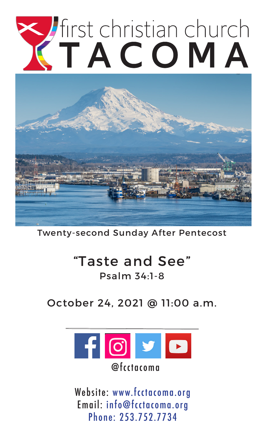# Tirst christian church



Twenty-second Sunday After Pentecost

# "Taste and See" Psalm 34:1-8

October 24, 2021 @ 11:00 a.m.



Website: www.fcctacoma.org Email: info@fcctacoma.org Phone: 253.752.7734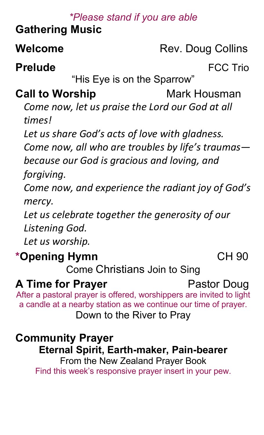#### *\*Please stand if you are able*

# **Gathering Music**

# **Welcome** Rev. Doug Collins

**Prelude FCC Trio** 

"His Eye is on the Sparrow"

# **Call to Worship <b>Call** Mark Housman

*Come now, let us praise the Lord our God at all times!*

*Let us share God's acts of love with gladness.*

*Come now, all who are troubles by life's traumas because our God is gracious and loving, and*

*forgiving.*

*Come now, and experience the radiant joy of God's mercy.*

*Let us celebrate together the generosity of our Listening God.*

*Let us worship.*

# **\*Opening Hymn CH 90**

Come Christians Join to Sing

# **A Time for Prayer** Pastor Doug

After a pastoral prayer is offered, worshippers are invited to light a candle at a nearby station as we continue our time of prayer. Down to the River to Pray

#### **Community Prayer**

#### **Eternal Spirit, Earth-maker, Pain-bearer**

From the New Zealand Prayer Book Find this week's responsive prayer insert in your pew.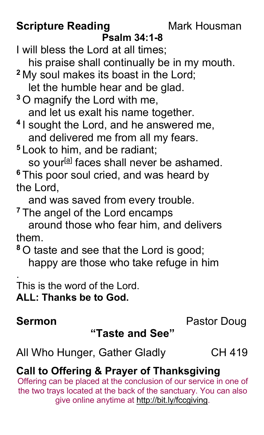# **Scripture Reading Mark Housman**

#### **Psalm 34:1-8**

I will bless the Lord at all times; his praise shall continually be in my mouth.

**<sup>2</sup>** My soul makes its boast in the Lord;

let the humble hear and be glad.

**<sup>3</sup>** O magnify the Lord with me, and let us exalt his name together.

**<sup>4</sup>** I sought the Lord, and he answered me, and delivered me from all my fears.

**<sup>5</sup>** Look to him, and be radiant;

so your<sup>[a]</sup> faces shall never be ashamed. **<sup>6</sup>** This poor soul cried, and was heard by the Lord,

and was saved from every trouble.

**<sup>7</sup>** The angel of the Lord encamps

 around those who fear him, and delivers them.

**<sup>8</sup>** O taste and see that the Lord is good; happy are those who take refuge in him

. This is the word of the Lord. **ALL: Thanks be to God.**

# **Sermon** Pastor Doug

### **"Taste and See"**

All Who Hunger, Gather GladlyCH 419

# **Call to Offering & Prayer of Thanksgiving**

Offering can be placed at the conclusion of our service in one of the two trays located at the back of the sanctuary. You can also give online anytime at http://bit.ly/fccgiving.